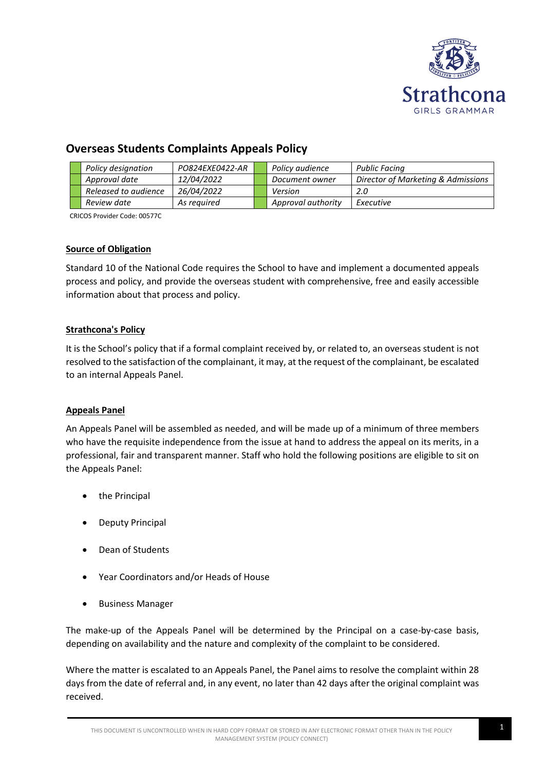

# **Overseas Students Complaints Appeals Policy**

|  | Policy designation   | PO824EXE0422-AR | Policy audience    | <b>Public Facing</b>               |
|--|----------------------|-----------------|--------------------|------------------------------------|
|  | Approval date        | 12/04/2022      | Document owner     | Director of Marketing & Admissions |
|  | Released to audience | 26/04/2022      | Version            | 2.0                                |
|  | Review date          | As reauired     | Approval authority | Executive                          |

CRICOS Provider Code: 00577C

# **Source of Obligation**

Standard 10 of the National Code requires the School to have and implement a documented appeals process and policy, and provide the overseas student with comprehensive, free and easily accessible information about that process and policy.

# **Strathcona's Policy**

It is the School's policy that if a formal complaint received by, or related to, an overseas student is not resolved to the satisfaction of the complainant, it may, at the request of the complainant, be escalated to an internal Appeals Panel.

# **Appeals Panel**

An Appeals Panel will be assembled as needed, and will be made up of a minimum of three members who have the requisite independence from the issue at hand to address the appeal on its merits, in a professional, fair and transparent manner. Staff who hold the following positions are eligible to sit on the Appeals Panel:

- the Principal
- Deputy Principal
- Dean of Students
- Year Coordinators and/or Heads of House
- Business Manager

The make-up of the Appeals Panel will be determined by the Principal on a case-by-case basis, depending on availability and the nature and complexity of the complaint to be considered.

Where the matter is escalated to an Appeals Panel, the Panel aims to resolve the complaint within 28 days from the date of referral and, in any event, no later than 42 days after the original complaint was received.